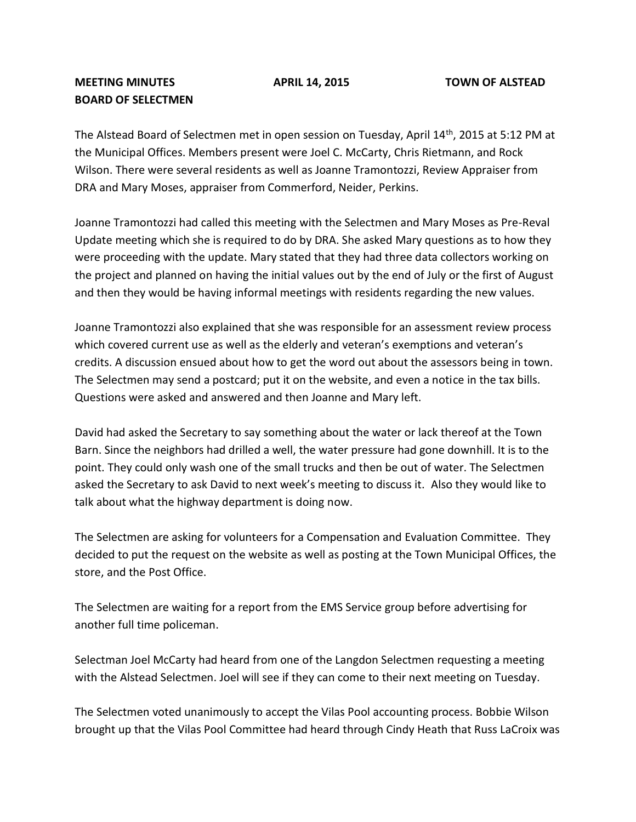## **MEETING MINUTES APRIL 14, 2015 TOWN OF ALSTEAD BOARD OF SELECTMEN**

The Alstead Board of Selectmen met in open session on Tuesday, April 14<sup>th</sup>, 2015 at 5:12 PM at the Municipal Offices. Members present were Joel C. McCarty, Chris Rietmann, and Rock Wilson. There were several residents as well as Joanne Tramontozzi, Review Appraiser from DRA and Mary Moses, appraiser from Commerford, Neider, Perkins.

Joanne Tramontozzi had called this meeting with the Selectmen and Mary Moses as Pre-Reval Update meeting which she is required to do by DRA. She asked Mary questions as to how they were proceeding with the update. Mary stated that they had three data collectors working on the project and planned on having the initial values out by the end of July or the first of August and then they would be having informal meetings with residents regarding the new values.

Joanne Tramontozzi also explained that she was responsible for an assessment review process which covered current use as well as the elderly and veteran's exemptions and veteran's credits. A discussion ensued about how to get the word out about the assessors being in town. The Selectmen may send a postcard; put it on the website, and even a notice in the tax bills. Questions were asked and answered and then Joanne and Mary left.

David had asked the Secretary to say something about the water or lack thereof at the Town Barn. Since the neighbors had drilled a well, the water pressure had gone downhill. It is to the point. They could only wash one of the small trucks and then be out of water. The Selectmen asked the Secretary to ask David to next week's meeting to discuss it. Also they would like to talk about what the highway department is doing now.

The Selectmen are asking for volunteers for a Compensation and Evaluation Committee. They decided to put the request on the website as well as posting at the Town Municipal Offices, the store, and the Post Office.

The Selectmen are waiting for a report from the EMS Service group before advertising for another full time policeman.

Selectman Joel McCarty had heard from one of the Langdon Selectmen requesting a meeting with the Alstead Selectmen. Joel will see if they can come to their next meeting on Tuesday.

The Selectmen voted unanimously to accept the Vilas Pool accounting process. Bobbie Wilson brought up that the Vilas Pool Committee had heard through Cindy Heath that Russ LaCroix was